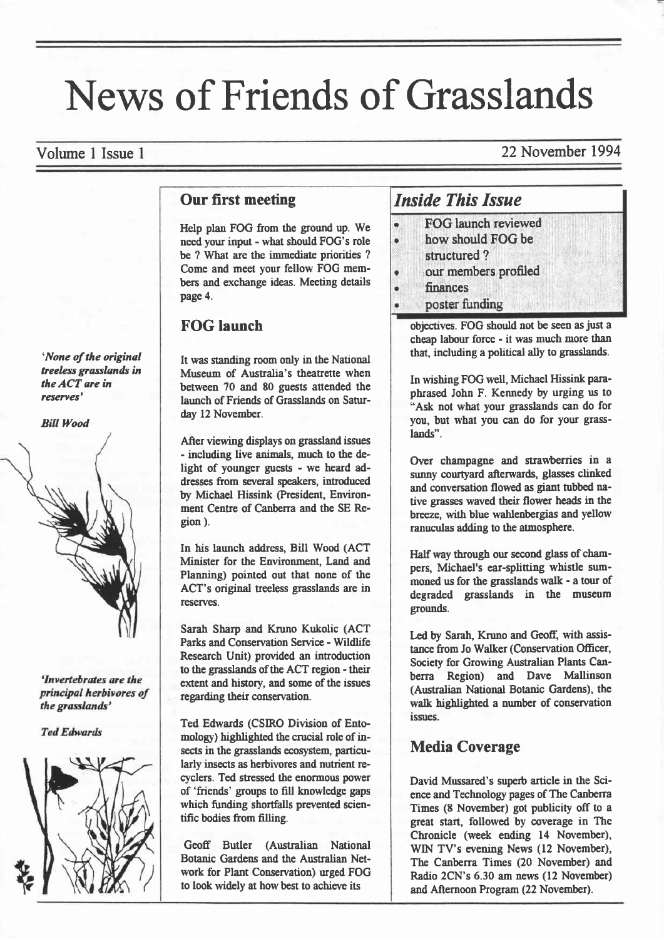# News of Friends of Grasslands

Volume I Issue I 22 November 1994

#### Our first meeting

Help plan FOG from the ground up. We need your input - what should FOG's role be ? What are the immediate priorities ? Come and meet your fellow FOG members and exchange ideas. Meeting details page 4.

# FOG launch

It was standing room only in the National Museum of Australia's theatrette when between 70 and 80 guests attended the launch of Friends of Grasslands on Saturday 12 November.

After viewing displays on grassland issues - including live animals, much to the delight of younger guests - we heard addresses from several speakers, introduced by Micbael Hissink @resident, Environment Centre of Canberra and the SE Region ).

In his launch address, Bill Wood (ACT Minister for the Environment, Land and Planning) pointed out that none of the ACT's original treeless grasslands are in reserves.

Sarah Sharp and Kruno Kukolic (ACT Parks and Conservation Service - Wildlife Research Unit) provided an introduction to the grasslands of the ACT region - their extent and history, and some of the issues regarding their conservation.

Ted Edwards (CSIRO Division of Entomology) highlighted the crucial role of insects in the grasslands ecosystem, particularly insects as herbivores and nutrient recyclers. Ted stressed the enormous power of 'friends' goups to fill knowledge gaps which funding shortfalls prevented scientific bodies from filling.

Geofr Butler (Australian National Botanic Gardens and the Australian Network for Plant Conservation) uged FOG to look widely at how best to achieve its

# Inside This Issue

- FOG launch reviewed . how should FOG be structured ? our members profiled
- finances
- poster funding

objectives. FOG should not be seen as just a cheap labour force - it was much more than that, including a political ally to grasslands.

In wishing FOG well, Michael Hissink para' phrased John F. Kennedy by urging us to "Ask not what your grasslands can do for you, but what you can do for your grasslands".

Over champagne and strawberries in a sunny courtyard afterwards, glasses clinked and conversation flowed as giant tubbed native grasses waved their flower heads in the breeze, with blue wahlenbergias and yellow ranuculas adding to the atmosphere.

Half way through our second glass of champers, Michael's ear-splitting whistle summoned us for the grasslands walk - a tour of degraded grasslands in the museum grounds.

Led by Sarah, Kruno and Geoff, with assistance from Jo Walker (Conservation Officer, Society for Growing Australian Plants Canberra Region) and Dave Mallinson (Australian National Botanic Gardens), the wdk highlighted a number of conservation issues.

## Media Coverage

David Mussared's superb article in the Science and Technology pages of The Canberra Times (8 November) got publicity ofr to a great start, followed by coverage in The Chronicle (week ending 14 November), WIN TV's evening News (12 November), The Canberra Times (20 November) and Radio 2CN's 6.30 am news (12 November) and Afrernoon Program (22 November).

'None of the original teeless grasslands in the ACT are in resenes'

#### **Bill Wood**



'Invertebrates are the principal herbivores of the grasslands'



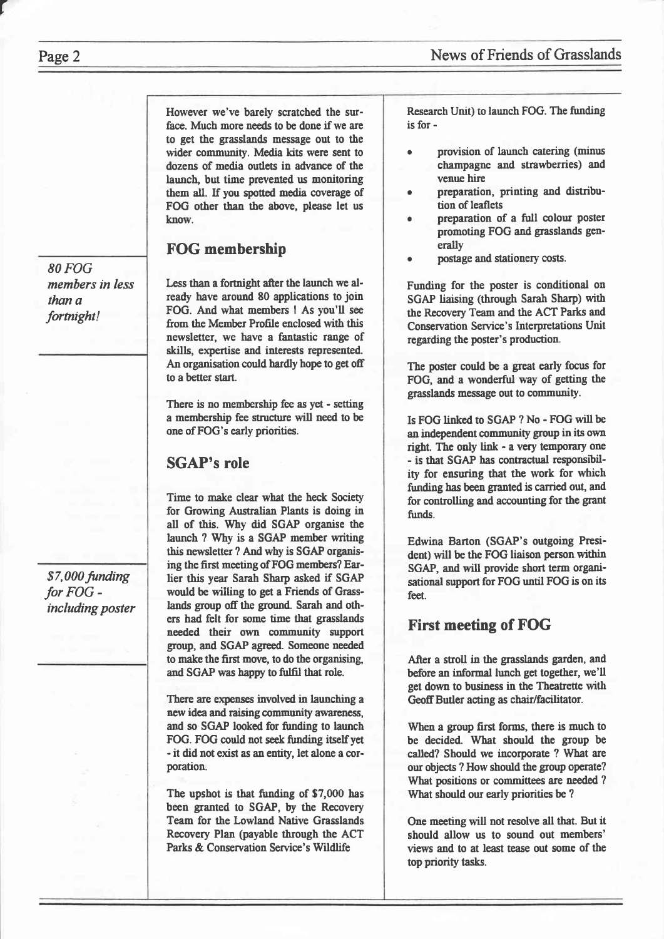However we've barely scratched the surface. Much more needs to be done if we are to get the grasslands message out to the wider community. Media kits were sent to dozens of media outlets in advance of the launch, but time prevented us monitoring them all. If you spotted media cwerage of FOG other than the above, please let us know.

## FOG membership

Less than a fortnight after the launch we already have around 80 applications to join FOG. And what members I As you'll see from the Member Profile enclosed with this newsletter, we have a fantastic range of skills, expertise and interests represented. An organisation could hardly hope to get off to a better start.

There is no membership fee as yet - setting a membership fee structure will need to be one of FOG's early priorities.

# SGAP's role

Time to make clear what the heck Society for Growing Australian Plants is doing in all of this. Why did SGAP organise the launch ? Why is a SGAP member witing this newsletter ? And why is SGAP organising the first meeting of FOG members? Earlier this year Sarah Sharp asked if SGAP would be willing to get a Friends of Grasslands group off the ground. Sarah and others had felt for some time that grasslands needed their own community support group, and SGAP agreed. Someone needed to make the first move, to do the organising, and SGAP was happy to fulfil that role.

There are expenses involved in launching a new idea and raising community awareness, and so SGAP looked for finding to launch FOG. FOG could not seek funding itself yet - it did not exist as an entity, let alone a corporation.

The upshot is tbat funding of \$7,000 has been granted to SGAP, by the Recovery Team for the Lowland Native Grasslands Recovery Plan (payable through the ACT Parks & Conservation Servicc's Wildlife

Research Unit) to launch FOG. The furding is for -

- provision of launch catering (minus champagne and strawberries) and venue hire
- . preparation, printing and distribution of leaflets
- preparation of a full colour poster promoting FOG and grasslands generally
- postage and stationery costs.

Funding for the poster is conditional on SGAP liaising (through Sarah Sharp) with the Recovery Team and the ACT Parks and Conservation Service's lnterpretations Unit regarding the poster's production.

The poster could be a great early focus for FOG, and a wonderful way of getting the grasslands message out to commuaity.

Is FOG linked to SGAP ? No - FOG will be an independent community group in its own right. The only link - a very temporary one - is that SGAP has contractual responsibility for ensuring that the work for which funding has been granted is carried out, and for controlling and accounting for the grant funds.

Edwina Barton (SGAP's outgoing President) will be the FOG liaison person within SGAP, and will provide short term organisational support for FOG until FOG is on is feet.

# First meeting of FOG

After a stroll in the grasslands garden, and before an informal lunch get together, we'll get down to business in the Theatrette with Geoff Butler acting as chair/facilitator.

When a group first forms, there is much to be decided. What should the group be called? Should we incorporate ? Wbat are our objects ? How should the group operate? What positions or committees are needed ? What should our early priorities be ?

One meeting will not resolve all that. But it should allow us to sound out members' views and to at least tease out some of the top priority tasks.

80 FOG members in less than a fortnight!

\$7,000 funding for FOG including poster

r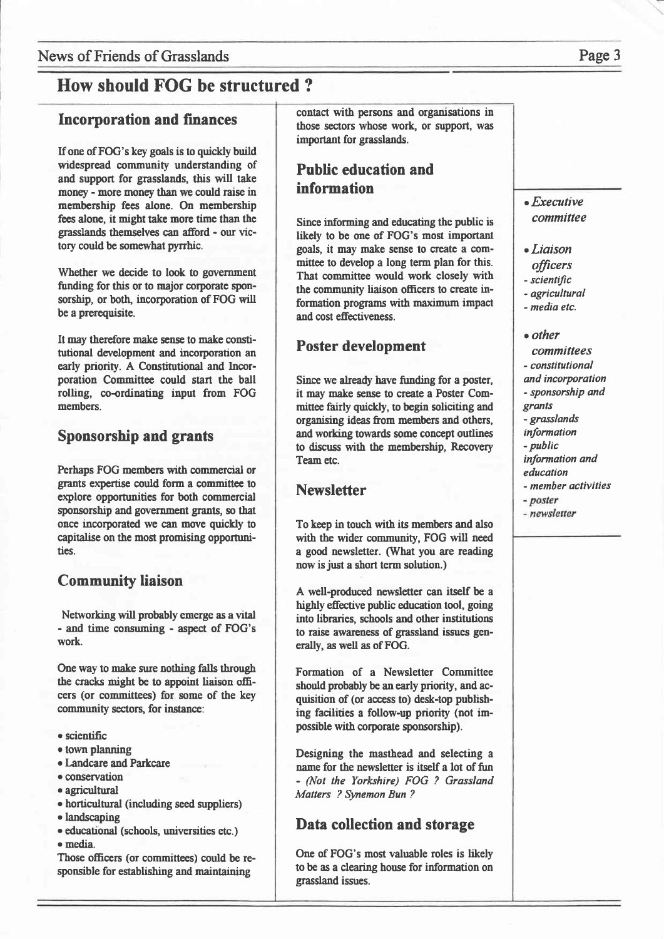## News of Friends of Grasslands **Page 3**

# How should FOG be structured ?

#### Incorporation and finances

If one of FOG's key goals is to quickly build widespread community understanding of and support for grasslands, this will take money - more money than we could raise in membership fees alone. On membership fees alone, it might take more time than the grasslands themselves can afford - our victory could be somewhat pyrrhic.

Whether we decide to look to government funding for this or to major corporate sponsorship, or both, incorporation of FOG will be a prerequisite.

It may therefore make sense to make constitutional development and incorporation an early priority. A Constitutional and lncorporation Committee could start the ball rolling, co-ordinating input from FOG members.

#### Sponsorship and grants

Perhaps FOG members with commercial or grants expertise could form a committee to explore opportunities for both commercial sponsorship and government grants, so that once incorporated we can move quickly to capitalise on the most promising opportunities.

#### **Community liaison**

Networking will probably emerge as a vital - and time consuming - aspect of FOG's work.

One way to make sure nothing falls through the cracks might be to appoint liaison officers (or committees) for some of the key community sectors, for instance:

- o scientific
- town planning
- o Iandcare and Parkcare
- conservation
- · agricultural
- o horticultural (including seed suppliers)
- o landscaping
- o educationel (schools, universities erc.) o media.

Those officers (or commifiees) could be responsible for establishing and maintaining

oontact with persons and organisations in those sectors whose work, or support, was important for grasslands.

# Public education and information

Since informing and educating the public is likely to be one of FOG's most important goals, it may make sense to create a committee to develop a long term plan for this. That committee would work closely with the community liaison officers to create information programs with maximum impact and cost effectiveness.

#### Poster development

Since we already have funding for a poster, it may make sense to create a Poster Committee fairly quickly, to begin soliciting and organising ideas from members and others, and working towards some concept outlines to discuss with the membership, Recovery Team etc.

#### **Newsletter**

To keep in touch with its members and also with the wider community, FOG will need a good newsletter. (What you are reading now is just a short term solution.)

A well-produced newsletter can itself be a highly effective public education tool, going into libraries, schools and other institutions to raise awareness of grassland issues generally, as well as of FOG.

Formation of a Newsletter Committee should probably be an early priority, and acquisition of (or access to) desk-top publishing facilities a follow-up priority (not impossible with corporate sponsorship).

Designing the masthead and selecting a nane for the newsletter is itself a lot of fun - (Not the Yorkshire) FOG ? Grassland Matters ? Synemon Bun ?

#### Data collection and storage

One of FOG's most valuable roles is likely to be as a clearing house for information on grassland issues.

#### $\bullet$  *Executive* commiltee

- . Liaison
- officers
- scientific
- agricultural
- media etc.
- $\bullet$  other
- committees
- constitutional
- and incorporation
- sponsorship and
- granls
- grasslands
- information
- public
- information and education
- 
- member activities
- poster
- newsletter